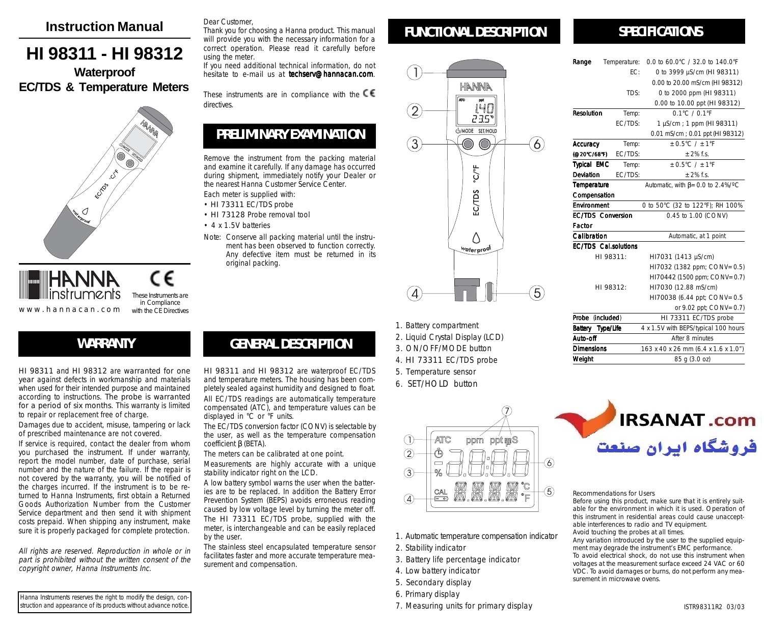### **Instruction Manual**

# **HI 98311 - HI 98312 Waterproof**

# **EC/TDS & Temperature Meters**





These Instruments are in Compliance with the CF Directives

## **WARRANTY**

HI 98311 and HI 98312 are warranted for one year against defects in workmanship and materials when used for their intended purpose and maintained according to instructions. The probe is warranted for a period of six months. This warranty is limited to repair or replacement free of charge.

Damages due to accident, misuse, tampering or lack of prescribed maintenance are not covered.

If service is required, contact the dealer from whom you purchased the instrument. If under warranty, report the model number, date of purchase, serial number and the nature of the failure. If the repair is not covered by the warranty, you will be notified of the charges incurred. If the instrument is to be returned to Hanna Instruments, first obtain a Returned Goods Authorization Number from the Customer Service department and then send it with shipment costs prepaid. When shipping any instrument, make sure it is properly packaged for complete protection.

All rights are reserved. Reproduction in whole or in part is prohibited without the written consent of the copyright owner, Hanna Instruments Inc.

Hanna Instruments reserves the right to modify the design, construction and appearance of its products without advance notice.

#### Dear Customer,

Thank you for choosing a Hanna product. This manual will provide you with the necessary information for a correct operation. Please read it carefully before using the meter.

If you need additional technical information, do not hesitate to e-mail us at **techserv@hannacan.com**.

These instruments are in compliance with the  $\mathsf{CE}$ directives.

## **PRELIMINARY EXAMINATION**

Remove the instrument from the packing material and examine it carefully. If any damage has occurred during shipment, immediately notify your Dealer or the nearest Hanna Customer Service Center.

- Each meter is supplied with:
- HI 73311 EC/TDS probe

displayed in °C or °F units.

coefficient β (BETA).

by the user.

- HI 73128 Probe removal tool
- 4 x 1.5V batteries
- Note: Conserve all packing material until the instrument has been observed to function correctly. Any defective item must be returned in its original packing.

HI 98311 and HI 98312 are waterproof EC/TDS and temperature meters. The housing has been completely sealed against humidity and designed to float. All EC/TDS readings are automatically temperature compensated (ATC), and temperature values can be

**GENERAL DESCRIPTION**

The EC/TDS conversion factor (CONV) is selectable by the user, as well as the temperature compensation

A low battery symbol warns the user when the batteries are to be replaced. In addition the Battery Error Prevention System (BEPS) avoids erroneous reading caused by low voltage level by turning the meter off. The HI 73311 EC/TDS probe, supplied with the meter, is interchangeable and can be easily replaced

The stainless steel encapsulated temperature sensor facilitates faster and more accurate temperature mea-

The meters can be calibrated at one point. Measurements are highly accurate with a unique

stability indicator right on the LCD.

surement and compensation.



HANNA

 $\frac{1}{2}$ o<sup>o</sup>

EC/TDS

Δ water proo

I4D 235\* U/MODE SET/HOLD

 $6$ 

 $\widehat{5}$ 

## **SPECIFICATIONS**

| Range                    | Temperature:                | 0.0 to 60.0°C / 32.0 to 140.0°F          |
|--------------------------|-----------------------------|------------------------------------------|
|                          | FC:                         | 0 to 3999 µS/cm (HI 98311)               |
|                          |                             | 0.00 to 20.00 mS/cm (HI 98312)           |
|                          | TDS:                        | 0 to 2000 ppm (HI 98311)                 |
|                          |                             | 0.00 to 10.00 ppt (HI 98312)             |
| Resolution               | Temp:                       | $0.1^{\circ}$ C / $0.1^{\circ}$ F        |
|                          | <b>FC/TDS:</b>              | 1 µS/cm ; 1 ppm (HI 98311)               |
|                          |                             | 0.01 mS/cm ; 0.01 ppt (HI 98312)         |
| Accuracy                 | Temp:                       | $+0.5^{\circ}$ C / $+1^{\circ}$ F        |
| (@20°C/68°F)             | EC/TDS:                     | $+2%$ f.s.                               |
| <b>Typical EMC</b>       | Temp:                       | $+0.5^{\circ}$ C / $+1^{\circ}$ F        |
| Deviation                | EC/TDS:                     | $+2%$ f.s.                               |
| Temperature              |                             | Automatic, with $\beta$ = 0.0 to 2.4%/°C |
| Compensation             |                             |                                          |
| Environment              |                             | 0 to 50°C (32 to 122°F); RH 100%         |
| <b>EC/TDS Conversion</b> |                             | 0.45 to 1.00 (CONV)                      |
| Factor                   |                             |                                          |
| Calibration              |                             | Automatic, at 1 point                    |
|                          | <b>FC/TDS</b> Cal.solutions |                                          |
| HI 98311:                |                             | HI7031 (1413 µS/cm)                      |
|                          |                             | HI7032 (1382 ppm; CONV=0.5)              |
|                          |                             | HI70442 (1500 ppm; CONV=0.7)             |
|                          | HI 98312:                   | HI7030 (12.88 mS/cm)                     |
|                          |                             | HI70038 (6.44 ppt; CONV=0.5              |
|                          |                             | or 9.02 ppt; CONV=0.7)                   |
| Probe                    | (included)                  | HI 73311 EC/TDS probe                    |
| Battery Type/Life        |                             | 4 x 1.5V with BEPS/typical 100 hours     |
| Auto-off                 |                             | After 8 minutes                          |
| <b>Dimensions</b>        |                             | 163 x 40 x 26 mm (6.4 x 1.6 x 1.0")      |

1. Battery compartment

 $\overline{A}$ 

3

- 2. Liquid Crystal Display (LCD)
- 3. ON/OFF/MODE button
- 4. HI 73311 EC/TDS probe
- 5. Temperature sensor
- 6. SET/HOLD button



- 1. Automatic temperature compensation indicator
- 2. Stability indicator
- 3. Battery life percentage indicator
- 4. Low battery indicator
- 5. Secondary display
- 6. Primary display
- 



85 g (3.0 oz)

Recommendations for Users

Weight

Before using this product, make sure that it is entirely suitable for the environment in which it is used. Operation of this instrument in residential areas could cause unacceptable interferences to radio and TV equipment. Avoid touching the probes at all times. Any variation introduced by the user to the supplied equipment may degrade the instrument's EMC performance. To avoid electrical shock, do not use this instrument when voltages at the measurement surface exceed 24 VAC or 60 VDC. To avoid damages or burns, do not perform any measurement in microwave ovens.

- 
- 7. Measuring units for primary display